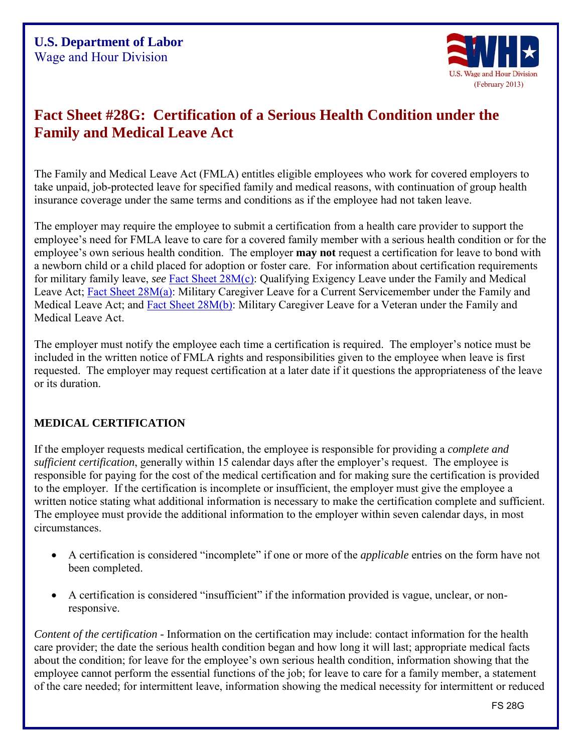

# **Fact Sheet #28G: Certification of a Serious Health Condition under the Family and Medical Leave Act**

The Family and Medical Leave Act (FMLA) entitles eligible employees who work for covered employers to take unpaid, job-protected leave for specified family and medical reasons, with continuation of group health insurance coverage under the same terms and conditions as if the employee had not taken leave.

The employer may require the employee to submit a certification from a health care provider to support the employee's need for FMLA leave to care for a covered family member with a serious health condition or for the employee's own serious health condition. The employer **may not** request a certification for leave to bond with a newborn child or a child placed for adoption or foster care. For information about certification requirements for military family leave, *see* [Fact Sheet 28M\(c\):](http://www.dol.gov/whd/regs/compliance/whdfs28mc.htm) Qualifying Exigency Leave under the Family and Medical Leave Act; [Fact Sheet 28M\(a\):](http://www.dol.gov/whd/regs/compliance/whdfs28ma.htm) Military Caregiver Leave for a Current Servicemember under the Family and Medical Leave Act; and [Fact Sheet 28M\(b\):](http://www.dol.gov/whd/regs/compliance/whdfs28mb.htm) Military Caregiver Leave for a Veteran under the Family and Medical Leave Act.

The employer must notify the employee each time a certification is required. The employer's notice must be included in the written notice of FMLA rights and responsibilities given to the employee when leave is first requested. The employer may request certification at a later date if it questions the appropriateness of the leave or its duration.

### **MEDICAL CERTIFICATION**

If the employer requests medical certification, the employee is responsible for providing a *complete and sufficient certification*, generally within 15 calendar days after the employer's request. The employee is responsible for paying for the cost of the medical certification and for making sure the certification is provided to the employer. If the certification is incomplete or insufficient, the employer must give the employee a written notice stating what additional information is necessary to make the certification complete and sufficient. The employee must provide the additional information to the employer within seven calendar days, in most circumstances.

- A certification is considered "incomplete" if one or more of the *applicable* entries on the form have not been completed.
- A certification is considered "insufficient" if the information provided is vague, unclear, or nonresponsive.

*Content of the certification -* Information on the certification may include: contact information for the health care provider; the date the serious health condition began and how long it will last; appropriate medical facts about the condition; for leave for the employee's own serious health condition, information showing that the employee cannot perform the essential functions of the job; for leave to care for a family member, a statement of the care needed; for intermittent leave, information showing the medical necessity for intermittent or reduced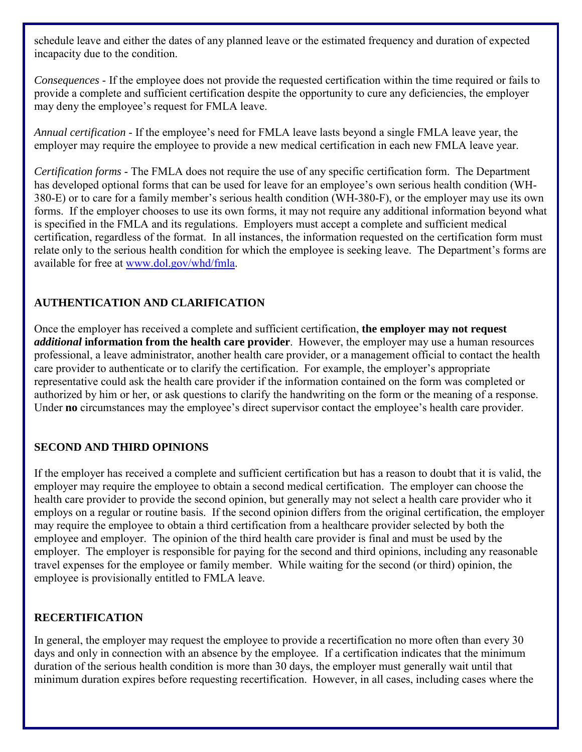schedule leave and either the dates of any planned leave or the estimated frequency and duration of expected incapacity due to the condition.

*Consequences* - If the employee does not provide the requested certification within the time required or fails to provide a complete and sufficient certification despite the opportunity to cure any deficiencies, the employer may deny the employee's request for FMLA leave.

*Annual certification* - If the employee's need for FMLA leave lasts beyond a single FMLA leave year, the employer may require the employee to provide a new medical certification in each new FMLA leave year.

*Certification forms* - The FMLA does not require the use of any specific certification form. The Department has developed optional forms that can be used for leave for an employee's own serious health condition (WH-380-E) or to care for a family member's serious health condition (WH-380-F), or the employer may use its own forms. If the employer chooses to use its own forms, it may not require any additional information beyond what is specified in the FMLA and its regulations. Employers must accept a complete and sufficient medical certification, regardless of the format. In all instances, the information requested on the certification form must relate only to the serious health condition for which the employee is seeking leave. The Department's forms are available for free at [www.dol.gov/whd/fmla.](http://www.dol.gov/whd/fmla)

# **AUTHENTICATION AND CLARIFICATION**

Once the employer has received a complete and sufficient certification, **the employer may not request**  *additional* **information from the health care provider**. However, the employer may use a human resources professional, a leave administrator, another health care provider, or a management official to contact the health care provider to authenticate or to clarify the certification. For example, the employer's appropriate representative could ask the health care provider if the information contained on the form was completed or authorized by him or her, or ask questions to clarify the handwriting on the form or the meaning of a response. Under **no** circumstances may the employee's direct supervisor contact the employee's health care provider.

# **SECOND AND THIRD OPINIONS**

If the employer has received a complete and sufficient certification but has a reason to doubt that it is valid, the employer may require the employee to obtain a second medical certification. The employer can choose the health care provider to provide the second opinion, but generally may not select a health care provider who it employs on a regular or routine basis. If the second opinion differs from the original certification, the employer may require the employee to obtain a third certification from a healthcare provider selected by both the employee and employer. The opinion of the third health care provider is final and must be used by the employer. The employer is responsible for paying for the second and third opinions, including any reasonable travel expenses for the employee or family member. While waiting for the second (or third) opinion, the employee is provisionally entitled to FMLA leave.

### **RECERTIFICATION**

In general, the employer may request the employee to provide a recertification no more often than every 30 days and only in connection with an absence by the employee. If a certification indicates that the minimum duration of the serious health condition is more than 30 days, the employer must generally wait until that minimum duration expires before requesting recertification. However, in all cases, including cases where the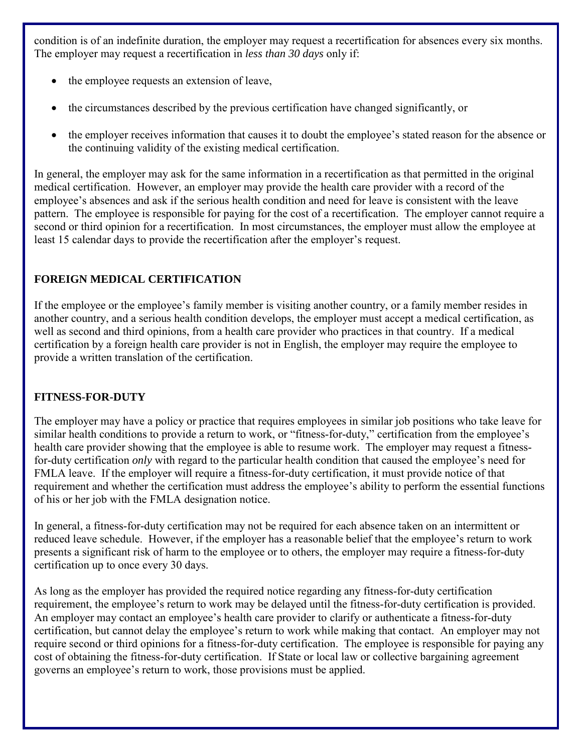condition is of an indefinite duration, the employer may request a recertification for absences every six months. The employer may request a recertification in *less than 30 days* only if:

- the employee requests an extension of leave,
- the circumstances described by the previous certification have changed significantly, or
- the employer receives information that causes it to doubt the employee's stated reason for the absence or the continuing validity of the existing medical certification.

In general, the employer may ask for the same information in a recertification as that permitted in the original medical certification. However, an employer may provide the health care provider with a record of the employee's absences and ask if the serious health condition and need for leave is consistent with the leave pattern. The employee is responsible for paying for the cost of a recertification. The employer cannot require a second or third opinion for a recertification. In most circumstances, the employer must allow the employee at least 15 calendar days to provide the recertification after the employer's request.

# **FOREIGN MEDICAL CERTIFICATION**

If the employee or the employee's family member is visiting another country, or a family member resides in another country, and a serious health condition develops, the employer must accept a medical certification, as well as second and third opinions, from a health care provider who practices in that country. If a medical certification by a foreign health care provider is not in English, the employer may require the employee to provide a written translation of the certification.

# **FITNESS-FOR-DUTY**

The employer may have a policy or practice that requires employees in similar job positions who take leave for similar health conditions to provide a return to work, or "fitness-for-duty," certification from the employee's health care provider showing that the employee is able to resume work. The employer may request a fitnessfor-duty certification *only* with regard to the particular health condition that caused the employee's need for FMLA leave. If the employer will require a fitness-for-duty certification, it must provide notice of that requirement and whether the certification must address the employee's ability to perform the essential functions of his or her job with the FMLA designation notice.

In general, a fitness-for-duty certification may not be required for each absence taken on an intermittent or reduced leave schedule. However, if the employer has a reasonable belief that the employee's return to work presents a significant risk of harm to the employee or to others, the employer may require a fitness-for-duty certification up to once every 30 days.

As long as the employer has provided the required notice regarding any fitness-for-duty certification requirement, the employee's return to work may be delayed until the fitness-for-duty certification is provided. An employer may contact an employee's health care provider to clarify or authenticate a fitness-for-duty certification, but cannot delay the employee's return to work while making that contact. An employer may not require second or third opinions for a fitness-for-duty certification. The employee is responsible for paying any cost of obtaining the fitness-for-duty certification. If State or local law or collective bargaining agreement governs an employee's return to work, those provisions must be applied.